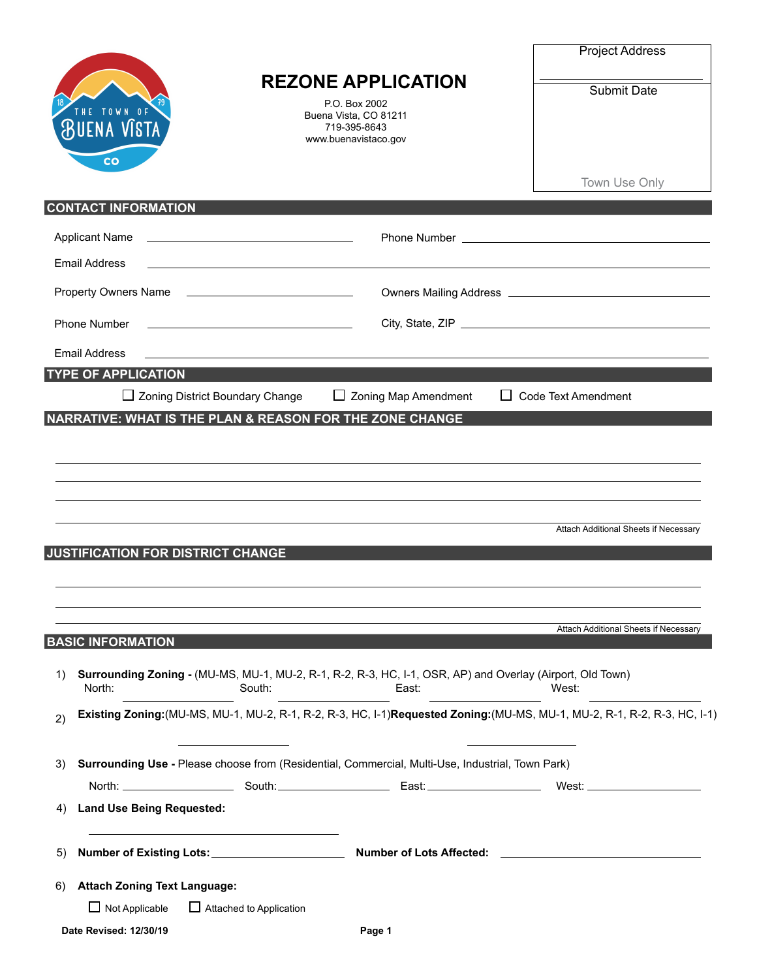|    |                                          |                                                                                                                  |                                                                                                                           | <b>Project Address</b>                                                                                                    |  |
|----|------------------------------------------|------------------------------------------------------------------------------------------------------------------|---------------------------------------------------------------------------------------------------------------------------|---------------------------------------------------------------------------------------------------------------------------|--|
|    | ENA VIST                                 |                                                                                                                  | <b>REZONE APPLICATION</b><br>P.O. Box 2002<br>Buena Vista, CO 81211<br>719-395-8643<br>www.buenavistaco.gov               | Submit Date                                                                                                               |  |
|    | CO                                       |                                                                                                                  |                                                                                                                           | Town Use Only                                                                                                             |  |
|    | <b>CONTACT INFORMATION</b>               |                                                                                                                  |                                                                                                                           |                                                                                                                           |  |
|    | <b>Applicant Name</b>                    | <u> 1980 - Johann Barbara, martxa alemaniar a</u>                                                                |                                                                                                                           |                                                                                                                           |  |
|    | <b>Email Address</b>                     | <u> 1980 - Johann Barbara, martin a</u>                                                                          |                                                                                                                           |                                                                                                                           |  |
|    |                                          | Property Owners Name                                                                                             |                                                                                                                           |                                                                                                                           |  |
|    | <b>Phone Number</b>                      | the control of the control of the control of the control of the control of                                       |                                                                                                                           |                                                                                                                           |  |
|    | <b>Email Address</b>                     | and the control of the control of the control of the control of the control of the control of the control of the |                                                                                                                           |                                                                                                                           |  |
|    | <b>TYPE OF APPLICATION</b>               |                                                                                                                  |                                                                                                                           |                                                                                                                           |  |
|    | <b>JUSTIFICATION FOR DISTRICT CHANGE</b> |                                                                                                                  |                                                                                                                           | Attach Additional Sheets if Necessary<br>Attach Additional Sheets if Necessary                                            |  |
|    | <b>BASIC INFORMATION</b>                 |                                                                                                                  |                                                                                                                           |                                                                                                                           |  |
| 1) | North:                                   | South:                                                                                                           | Surrounding Zoning - (MU-MS, MU-1, MU-2, R-1, R-2, R-3, HC, I-1, OSR, AP) and Overlay (Airport, Old Town)<br><b>East:</b> | West:                                                                                                                     |  |
| 2) |                                          |                                                                                                                  |                                                                                                                           | Existing Zoning: (MU-MS, MU-1, MU-2, R-1, R-2, R-3, HC, I-1)Requested Zoning: (MU-MS, MU-1, MU-2, R-1, R-2, R-3, HC, I-1) |  |
| 3) |                                          |                                                                                                                  | Surrounding Use - Please choose from (Residential, Commercial, Multi-Use, Industrial, Town Park)                          |                                                                                                                           |  |
|    |                                          |                                                                                                                  |                                                                                                                           |                                                                                                                           |  |
| 4) | <b>Land Use Being Requested:</b>         |                                                                                                                  |                                                                                                                           |                                                                                                                           |  |
| 5) |                                          |                                                                                                                  |                                                                                                                           |                                                                                                                           |  |
| 6) | <b>Attach Zoning Text Language:</b>      |                                                                                                                  |                                                                                                                           |                                                                                                                           |  |
|    | $\Box$ Not Applicable                    | Attached to Application                                                                                          |                                                                                                                           |                                                                                                                           |  |
|    | Date Revised: 12/30/19                   |                                                                                                                  | Page 1                                                                                                                    |                                                                                                                           |  |